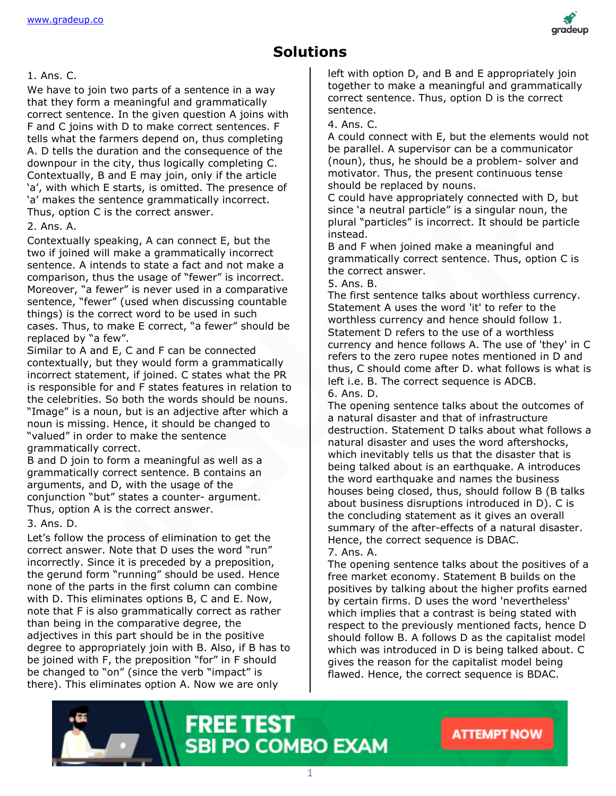

### **Solutions**

#### 1. Ans. C.

We have to join two parts of a sentence in a way that they form a meaningful and grammatically correct sentence. In the given question A joins with F and C joins with D to make correct sentences. F tells what the farmers depend on, thus completing A. D tells the duration and the consequence of the downpour in the city, thus logically completing C. Contextually, B and E may join, only if the article 'a', with which E starts, is omitted. The presence of 'a' makes the sentence grammatically incorrect. Thus, option C is the correct answer.

#### 2. Ans. A.

Contextually speaking, A can connect E, but the two if joined will make a grammatically incorrect sentence. A intends to state a fact and not make a comparison, thus the usage of "fewer" is incorrect. Moreover, "a fewer" is never used in a comparative sentence, "fewer" (used when discussing countable things) is the correct word to be used in such cases. Thus, to make E correct, "a fewer" should be replaced by "a few".

Similar to A and E, C and F can be connected contextually, but they would form a grammatically incorrect statement, if joined. C states what the PR is responsible for and F states features in relation to the celebrities. So both the words should be nouns. "Image" is a noun, but is an adjective after which a noun is missing. Hence, it should be changed to "valued" in order to make the sentence grammatically correct.

B and D join to form a meaningful as well as a grammatically correct sentence. B contains an arguments, and D, with the usage of the conjunction "but" states a counter- argument. Thus, option A is the correct answer.

3. Ans. D.

Let's follow the process of elimination to get the correct answer. Note that D uses the word "run" incorrectly. Since it is preceded by a preposition, the gerund form "running" should be used. Hence none of the parts in the first column can combine with D. This eliminates options B, C and E. Now, note that F is also grammatically correct as rather than being in the comparative degree, the adjectives in this part should be in the positive degree to appropriately join with B. Also, if B has to be joined with F, the preposition "for" in F should be changed to "on" (since the verb "impact" is there). This eliminates option A. Now we are only

left with option D, and B and E appropriately join together to make a meaningful and grammatically correct sentence. Thus, option D is the correct sentence.

4. Ans. C.

A could connect with E, but the elements would not be parallel. A supervisor can be a communicator (noun), thus, he should be a problem- solver and motivator. Thus, the present continuous tense should be replaced by nouns.

C could have appropriately connected with D, but since 'a neutral particle" is a singular noun, the plural "particles" is incorrect. It should be particle instead.

B and F when joined make a meaningful and grammatically correct sentence. Thus, option C is the correct answer.

5. Ans. B.

The first sentence talks about worthless currency. Statement A uses the word 'it' to refer to the worthless currency and hence should follow 1. Statement D refers to the use of a worthless currency and hence follows A. The use of 'they' in C refers to the zero rupee notes mentioned in D and thus, C should come after D. what follows is what is left i.e. B. The correct sequence is ADCB. 6. Ans. D.

The opening sentence talks about the outcomes of a natural disaster and that of infrastructure destruction. Statement D talks about what follows a natural disaster and uses the word aftershocks, which inevitably tells us that the disaster that is being talked about is an earthquake. A introduces the word earthquake and names the business houses being closed, thus, should follow B (B talks about business disruptions introduced in D). C is the concluding statement as it gives an overall summary of the after-effects of a natural disaster. Hence, the correct sequence is DBAC. 7. Ans. A.

The opening sentence talks about the positives of a free market economy. Statement B builds on the positives by talking about the higher profits earned by certain firms. D uses the word 'nevertheless' which implies that a contrast is being stated with respect to the previously mentioned facts, hence D should follow B. A follows D as the capitalist model which was introduced in D is being talked about. C gives the reason for the capitalist model being flawed. Hence, the correct sequence is BDAC.



**FREE TEST SBI PO COMBO EXAM**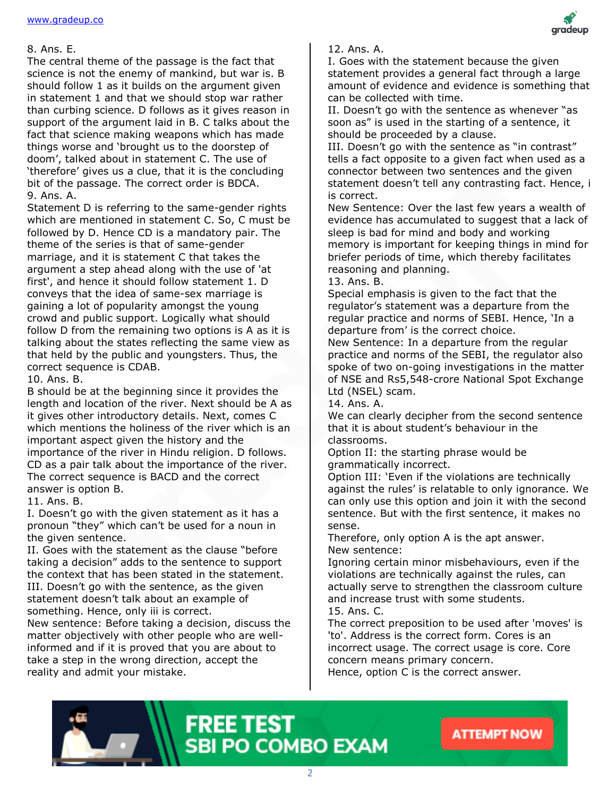#### 8. Ans. E.

The central theme of the passage is the fact that science is not the enemy of mankind, but war is. B should follow 1 as it builds on the argument given in statement 1 and that we should stop war rather than curbing science. D follows as it gives reason in support of the argument laid in B. C talks about the fact that science making weapons which has made things worse and 'brought us to the doorstep of doom', talked about in statement C. The use of 'therefore' gives us a clue, that it is the concluding bit of the passage. The correct order is BDCA. 9. Ans. A.

Statement D is referring to the same-gender rights which are mentioned in statement C. So, C must be followed by D. Hence CD is a mandatory pair. The theme of the series is that of same-gender marriage, and it is statement C that takes the argument a step ahead along with the use of 'at first', and hence it should follow statement 1. D conveys that the idea of same-sex marriage is gaining a lot of popularity amongst the young crowd and public support. Logically what should follow D from the remaining two options is A as it is talking about the states reflecting the same view as that held by the public and youngsters. Thus, the correct sequence is CDAB.

#### 10. Ans. B.

B should be at the beginning since it provides the length and location of the river. Next should be A as it gives other introductory details. Next, comes C which mentions the holiness of the river which is an important aspect given the history and the importance of the river in Hindu religion. D follows. CD as a pair talk about the importance of the river. The correct sequence is BACD and the correct answer is option B.

#### 11. Ans. B.

I. Doesn't go with the given statement as it has a pronoun "they" which can't be used for a noun in the given sentence.

II. Goes with the statement as the clause "before taking a decision" adds to the sentence to support the context that has been stated in the statement. III. Doesn't go with the sentence, as the given statement doesn't talk about an example of something. Hence, only iii is correct. New sentence: Before taking a decision, discuss the matter objectively with other people who are wellinformed and if it is proved that you are about to

take a step in the wrong direction, accept the reality and admit your mistake.

#### 12. Ans. A.

I. Goes with the statement because the given statement provides a general fact through a large amount of evidence and evidence is something that can be collected with time.

II. Doesn't go with the sentence as whenever "as soon as" is used in the starting of a sentence, it should be proceeded by a clause.

III. Doesn't go with the sentence as "in contrast" tells a fact opposite to a given fact when used as a connector between two sentences and the given statement doesn't tell any contrasting fact. Hence, i is correct.

New Sentence: Over the last few years a wealth of evidence has accumulated to suggest that a lack of sleep is bad for mind and body and working memory is important for keeping things in mind for briefer periods of time, which thereby facilitates reasoning and planning.

### 13. Ans. B.

Special emphasis is given to the fact that the regulator's statement was a departure from the regular practice and norms of SEBI. Hence, 'In a departure from' is the correct choice.

New Sentence: In a departure from the regular practice and norms of the SEBI, the regulator also spoke of two on-going investigations in the matter of NSE and Rs5,548-crore National Spot Exchange Ltd (NSEL) scam.

14. Ans. A.

We can clearly decipher from the second sentence that it is about student's behaviour in the classrooms.

Option II: the starting phrase would be grammatically incorrect.

Option III: 'Even if the violations are technically against the rules' is relatable to only ignorance. We can only use this option and join it with the second sentence. But with the first sentence, it makes no sense.

Therefore, only option A is the apt answer. New sentence:

Ignoring certain minor misbehaviours, even if the violations are technically against the rules, can actually serve to strengthen the classroom culture and increase trust with some students.

15. Ans. C.

The correct preposition to be used after 'moves' is 'to'. Address is the correct form. Cores is an incorrect usage. The correct usage is core. Core concern means primary concern.

Hence, option C is the correct answer.





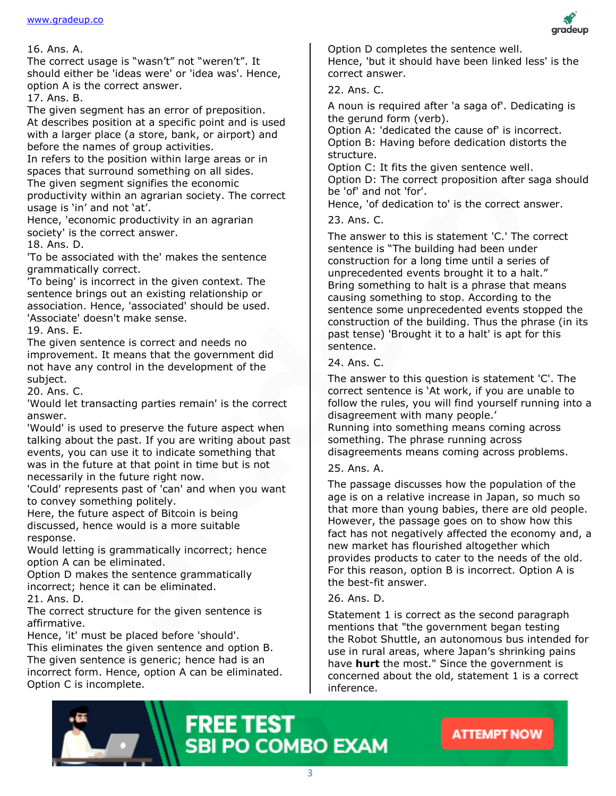#### 16. Ans. A.

The correct usage is "wasn't" not "weren't". It should either be 'ideas were' or 'idea was'. Hence, option A is the correct answer.

17. Ans. B.

The given segment has an error of preposition. At describes position at a specific point and is used with a larger place (a store, bank, or airport) and before the names of group activities.

In refers to the position within large areas or in spaces that surround something on all sides. The given segment signifies the economic productivity within an agrarian society. The correct usage is 'in' and not 'at'.

Hence, 'economic productivity in an agrarian society' is the correct answer.

18. Ans. D.

'To be associated with the' makes the sentence grammatically correct.

'To being' is incorrect in the given context. The sentence brings out an existing relationship or association. Hence, 'associated' should be used. 'Associate' doesn't make sense.

19. Ans. E.

The given sentence is correct and needs no improvement. It means that the government did not have any control in the development of the subject.

20. Ans. C.

'Would let transacting parties remain' is the correct answer.

'Would' is used to preserve the future aspect when talking about the past. If you are writing about past events, you can use it to indicate something that was in the future at that point in time but is not necessarily in the future right now.

'Could' represents past of 'can' and when you want to convey something politely.

Here, the future aspect of Bitcoin is being discussed, hence would is a more suitable response.

Would letting is grammatically incorrect; hence option A can be eliminated.

Option D makes the sentence grammatically incorrect; hence it can be eliminated.

21. Ans. D.

The correct structure for the given sentence is affirmative.

Hence, 'it' must be placed before 'should'.

This eliminates the given sentence and option B. The given sentence is generic; hence had is an incorrect form. Hence, option A can be eliminated. Option C is incomplete.



22. Ans. C.

A noun is required after 'a saga of'. Dedicating is the gerund form (verb).

Option A: 'dedicated the cause of' is incorrect. Option B: Having before dedication distorts the structure.

Option C: It fits the given sentence well.

Option D: The correct proposition after saga should be 'of' and not 'for'.

Hence, 'of dedication to' is the correct answer.

23. Ans. C.

The answer to this is statement 'C.' The correct sentence is "The building had been under construction for a long time until a series of unprecedented events brought it to a halt." Bring something to halt is a phrase that means causing something to stop. According to the sentence some unprecedented events stopped the construction of the building. Thus the phrase (in its past tense) 'Brought it to a halt' is apt for this sentence.

#### 24. Ans. C.

The answer to this question is statement 'C'. The correct sentence is 'At work, if you are unable to follow the rules, you will find yourself running into a disagreement with many people.' Running into something means coming across

something. The phrase running across disagreements means coming across problems.

#### 25. Ans. A.

The passage discusses how the population of the age is on a relative increase in Japan, so much so that more than young babies, there are old people. However, the passage goes on to show how this fact has not negatively affected the economy and, a new market has flourished altogether which provides products to cater to the needs of the old. For this reason, option B is incorrect. Option A is the best-fit answer.

#### 26. Ans. D.

Statement 1 is correct as the second paragraph mentions that "the government began testing the Robot Shuttle, an autonomous bus intended for use in rural areas, where Japan's shrinking pains have **hurt** the most." Since the government is concerned about the old, statement 1 is a correct inference.





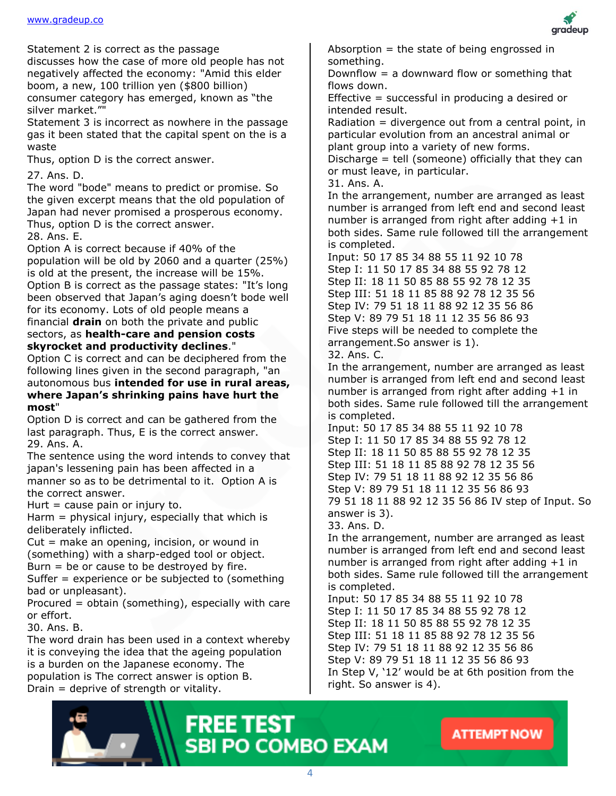Statement 2 is correct as the passage

discusses how the case of more old people has not negatively affected the economy: "Amid this elder boom, a new, 100 trillion yen (\$800 billion) consumer category has emerged, known as "the silver market.""

Statement 3 is incorrect as nowhere in the passage gas it been stated that the capital spent on the is a waste

Thus, option D is the correct answer.

27. Ans. D.

The word "bode" means to predict or promise. So the given excerpt means that the old population of Japan had never promised a prosperous economy. Thus, option D is the correct answer.

28. Ans. E.

Option A is correct because if 40% of the population will be old by 2060 and a quarter (25%) is old at the present, the increase will be 15%. Option B is correct as the passage states: "It's long been observed that Japan's aging doesn't bode well for its economy. Lots of old people means a financial **drain** on both the private and public sectors, as **health-care and pension costs skyrocket and productivity declines**."

Option C is correct and can be deciphered from the following lines given in the second paragraph, "an autonomous bus **intended for use in rural areas,** 

#### **where Japan's shrinking pains have hurt the most**"

Option D is correct and can be gathered from the last paragraph. Thus, E is the correct answer. 29. Ans. A.

The sentence using the word intends to convey that japan's lessening pain has been affected in a manner so as to be detrimental to it. Option A is the correct answer.

Hurt  $=$  cause pain or injury to.

Harm  $=$  physical injury, especially that which is deliberately inflicted.

Cut = make an opening, incision, or wound in (something) with a sharp-edged tool or object. Burn  $=$  be or cause to be destroyed by fire.

Suffer = experience or be subjected to (something bad or unpleasant).

Procured = obtain (something), especially with care or effort.

30. Ans. B.

The word drain has been used in a context whereby it is conveying the idea that the ageing population is a burden on the Japanese economy. The population is The correct answer is option B. Drain = deprive of strength or vitality.



Absorption  $=$  the state of being engrossed in something.

Downflow  $=$  a downward flow or something that flows down.

Effective = successful in producing a desired or intended result.

Radiation = divergence out from a central point, in particular evolution from an ancestral animal or plant group into a variety of new forms. Discharge = tell (someone) officially that they can

or must leave, in particular.

31. Ans. A.

In the arrangement, number are arranged as least number is arranged from left end and second least number is arranged from right after adding +1 in both sides. Same rule followed till the arrangement is completed.

Input: 50 17 85 34 88 55 11 92 10 78 Step I: 11 50 17 85 34 88 55 92 78 12 Step II: 18 11 50 85 88 55 92 78 12 35 Step III: 51 18 11 85 88 92 78 12 35 56 Step IV: 79 51 18 11 88 92 12 35 56 86 Step V: 89 79 51 18 11 12 35 56 86 93 Five steps will be needed to complete the arrangement.So answer is 1).

32. Ans. C.

In the arrangement, number are arranged as least number is arranged from left end and second least number is arranged from right after adding +1 in both sides. Same rule followed till the arrangement is completed.

Input: 50 17 85 34 88 55 11 92 10 78 Step I: 11 50 17 85 34 88 55 92 78 12 Step II: 18 11 50 85 88 55 92 78 12 35 Step III: 51 18 11 85 88 92 78 12 35 56 Step IV: 79 51 18 11 88 92 12 35 56 86 Step V: 89 79 51 18 11 12 35 56 86 93 79 51 18 11 88 92 12 35 56 86 IV step of Input. So answer is 3).

33. Ans. D.

In the arrangement, number are arranged as least number is arranged from left end and second least number is arranged from right after adding  $+1$  in both sides. Same rule followed till the arrangement is completed.

Input: 50 17 85 34 88 55 11 92 10 78 Step I: 11 50 17 85 34 88 55 92 78 12 Step II: 18 11 50 85 88 55 92 78 12 35 Step III: 51 18 11 85 88 92 78 12 35 56 Step IV: 79 51 18 11 88 92 12 35 56 86 Step V: 89 79 51 18 11 12 35 56 86 93 In Step V, '12' would be at 6th position from the right. So answer is 4).





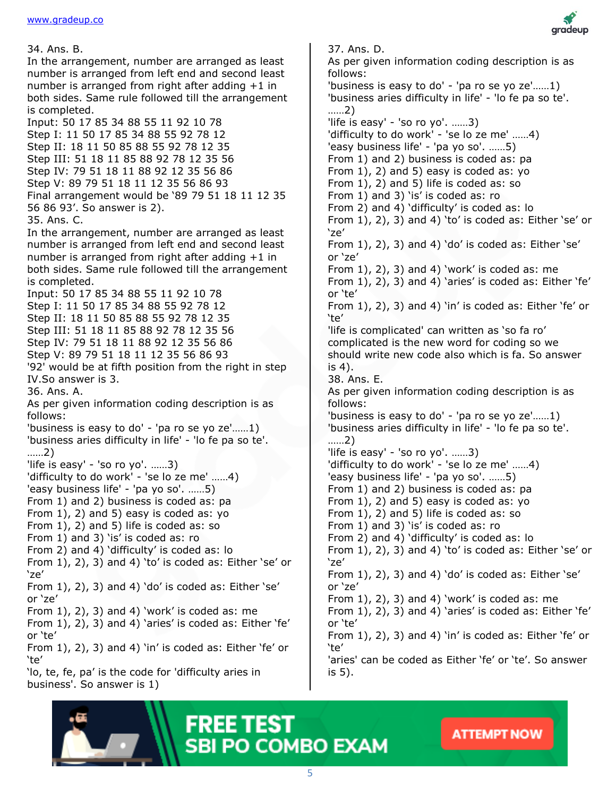34. Ans. B. In the arrangement, number are arranged as least number is arranged from left end and second least number is arranged from right after adding +1 in both sides. Same rule followed till the arrangement is completed. Input: 50 17 85 34 88 55 11 92 10 78 Step I: 11 50 17 85 34 88 55 92 78 12 Step II: 18 11 50 85 88 55 92 78 12 35 Step III: 51 18 11 85 88 92 78 12 35 56 Step IV: 79 51 18 11 88 92 12 35 56 86 Step V: 89 79 51 18 11 12 35 56 86 93 Final arrangement would be '89 79 51 18 11 12 35 56 86 93'. So answer is 2). 35. Ans. C. In the arrangement, number are arranged as least number is arranged from left end and second least number is arranged from right after adding +1 in both sides. Same rule followed till the arrangement is completed. Input: 50 17 85 34 88 55 11 92 10 78 Step I: 11 50 17 85 34 88 55 92 78 12 Step II: 18 11 50 85 88 55 92 78 12 35 Step III: 51 18 11 85 88 92 78 12 35 56 Step IV: 79 51 18 11 88 92 12 35 56 86 Step V: 89 79 51 18 11 12 35 56 86 93 '92' would be at fifth position from the right in step IV.So answer is 3. 36. Ans. A. As per given information coding description is as follows: 'business is easy to do' - 'pa ro se yo ze'……1) 'business aries difficulty in life' - 'lo fe pa so te'. ……2) 'life is easy' - 'so ro yo'. ……3) 'difficulty to do work' - 'se lo ze me' ……4) 'easy business life' - 'pa yo so'. ……5) From 1) and 2) business is coded as: pa From 1), 2) and 5) easy is coded as: yo From 1), 2) and 5) life is coded as: so From 1) and 3) 'is' is coded as: ro

From 2) and 4) 'difficulty' is coded as: lo From 1), 2), 3) and 4) 'to' is coded as: Either 'se' or 'ze'

From 1), 2), 3) and 4) 'do' is coded as: Either 'se' or 'ze'

From  $1$ ,  $2$ ,  $3$ ) and  $4$ ) 'work' is coded as: me From 1), 2), 3) and 4) 'aries' is coded as: Either 'fe' or 'te'

From 1), 2), 3) and 4) 'in' is coded as: Either 'fe' or 'te'

'lo, te, fe, pa' is the code for 'difficulty aries in business'. So answer is 1)



37. Ans. D.

As per given information coding description is as follows: 'business is easy to do' - 'pa ro se yo ze'……1) 'business aries difficulty in life' - 'lo fe pa so te'. ……2) 'life is easy' - 'so ro yo'. ……3) 'difficulty to do work' - 'se lo ze me' ……4) 'easy business life' - 'pa yo so'. ……5) From 1) and 2) business is coded as: pa From 1), 2) and 5) easy is coded as: yo From 1), 2) and 5) life is coded as: so From 1) and 3) 'is' is coded as: ro From 2) and 4) 'difficulty' is coded as: lo From  $1$ ,  $2$ ,  $3$ ) and  $4$ ) 'to' is coded as: Either 'se' or 'ze' From 1), 2), 3) and 4) 'do' is coded as: Either 'se' or 'ze' From 1), 2), 3) and 4) 'work' is coded as: me From 1), 2), 3) and 4) 'aries' is coded as: Either 'fe' or 'te' From 1), 2), 3) and 4) 'in' is coded as: Either 'fe' or 'te' 'life is complicated' can written as 'so fa ro' complicated is the new word for coding so we should write new code also which is fa. So answer is 4). 38. Ans. E. As per given information coding description is as follows: 'business is easy to do' - 'pa ro se yo ze'……1) 'business aries difficulty in life' - 'lo fe pa so te'. ……2) 'life is easy' - 'so ro yo'. ……3) 'difficulty to do work' - 'se lo ze me' ……4) 'easy business life' - 'pa yo so'. ……5) From 1) and 2) business is coded as: pa From 1), 2) and 5) easy is coded as: yo From 1), 2) and 5) life is coded as: so From 1) and 3) 'is' is coded as: ro From 2) and 4) 'difficulty' is coded as: lo From  $1$ ,  $2$ ,  $3$ ) and  $4$ ) 'to' is coded as: Either 'se' or 'ze' From  $1$ ,  $2$ ,  $3$ ) and  $4$ ) 'do' is coded as: Either 'se' or 'ze' From 1), 2), 3) and 4) 'work' is coded as: me From 1), 2), 3) and 4) 'aries' is coded as: Either 'fe' or 'te' From  $1$ ,  $2$ ,  $3$ ) and  $4$ ) 'in' is coded as: Either 'fe' or 'te' 'aries' can be coded as Either 'fe' or 'te'. So answer is 5).

# **FREE TEST SBI PO COMBO EXAM**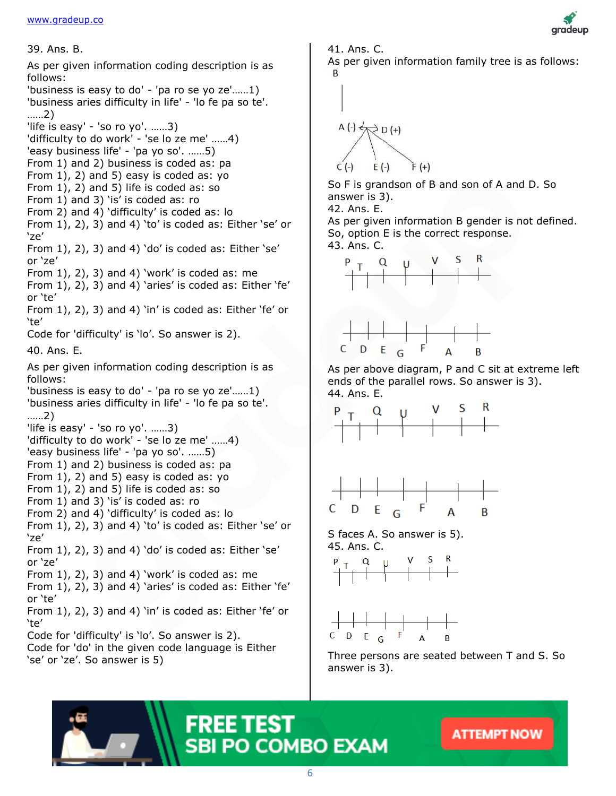

39. Ans. B. 41. Ans. C. As per given information coding description is as **B** follows: 'business is easy to do' - 'pa ro se yo ze'……1) 'business aries difficulty in life' - 'lo fe pa so te'. ……2) 'life is easy' - 'so ro yo'. ……3) 'difficulty to do work' - 'se lo ze me' ……4) 'easy business life' - 'pa yo so'. ……5) From 1) and 2) business is coded as: pa From 1), 2) and 5) easy is coded as: yo From 1), 2) and 5) life is coded as: so From 1) and 3) 'is' is coded as: ro From 2) and 4) 'difficulty' is coded as: lo From 1), 2), 3) and 4) 'to' is coded as: Either 'se' or 'ze' From  $1$ ,  $2$ ,  $3$ ) and  $4$ ) 'do' is coded as: Either 'se' or 'ze' From 1), 2), 3) and 4) 'work' is coded as: me From 1), 2), 3) and 4) 'aries' is coded as: Either 'fe' or 'te' From  $1$ ,  $2$ ,  $3$ ) and  $4$ ) 'in' is coded as: Either 'fe' or 'te' Code for 'difficulty' is 'lo'. So answer is 2). 40. Ans. E. As per given information coding description is as follows: 'business is easy to do' - 'pa ro se yo ze'……1) 'business aries difficulty in life' - 'lo fe pa so te'. ……2) 'life is easy' - 'so ro yo'. ……3) 'difficulty to do work' - 'se lo ze me' ……4) 'easy business life' - 'pa yo so'. ……5) From 1) and 2) business is coded as: pa From 1), 2) and 5) easy is coded as: yo From 1), 2) and 5) life is coded as: so From 1) and 3) 'is' is coded as: ro From 2) and 4) 'difficulty' is coded as: lo From  $1$ ,  $2$ ,  $3$ ) and  $4$ ) 'to' is coded as: Either 'se' or 'ze' From 1), 2), 3) and 4) 'do' is coded as: Either 'se' or 'ze' From 1), 2), 3) and 4) 'work' is coded as: me From 1), 2), 3) and 4) 'aries' is coded as: Either 'fe' or 'te' From 1), 2), 3) and 4) 'in' is coded as: Either 'fe' or 'te' Code for 'difficulty' is 'lo'. So answer is 2). Code for 'do' in the given code language is Either 'se' or 'ze'. So answer is 5)

As per given information family tree is as follows:

$$
\begin{array}{c}\n\left.\right. \\
A\left(\cdot\right) & D\left(\cdot\right) \\
C\left(\cdot\right) & E\left(\cdot\right) \\
\end{array}
$$

So F is grandson of B and son of A and D. So answer is 3).

42. Ans. E.

As per given information B gender is not defined. So, option E is the correct response. 43. Ans. C.





As per above diagram, P and C sit at extreme left ends of the parallel rows. So answer is 3). 44. Ans. E.





S faces A. So answer is 5). 45. Ans. C.





Three persons are seated between T and S. So answer is 3).

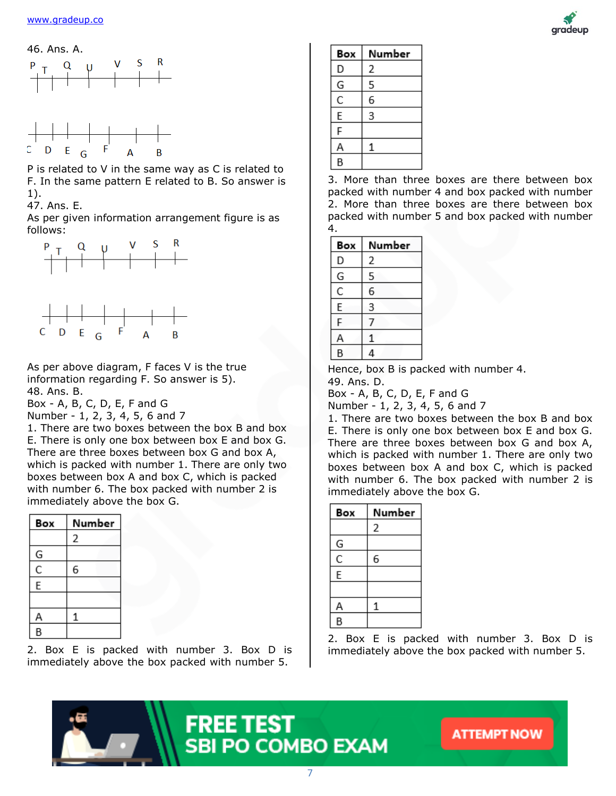





P is related to V in the same way as C is related to F. In the same pattern E related to B. So answer is 1).

47. Ans. E.

As per given information arrangement figure is as follows:



As per above diagram, F faces V is the true information regarding F. So answer is 5). 48. Ans. B.

Box - A, B, C, D, E, F and G

Number - 1, 2, 3, 4, 5, 6 and 7

1. There are two boxes between the box B and box E. There is only one box between box E and box G. There are three boxes between box G and box A, which is packed with number 1. There are only two boxes between box A and box C, which is packed with number 6. The box packed with number 2 is immediately above the box G.

| Box | Number |
|-----|--------|
|     | 2      |
| G   |        |
| Ċ   | 6      |
| E   |        |
|     |        |
| Α   | 1      |
| B   |        |

2. Box E is packed with number 3. Box D is immediately above the box packed with number 5.



3. More than three boxes are there between box packed with number 4 and box packed with number 2. More than three boxes are there between box packed with number 5 and box packed with number 4.

| Box | Number |  |
|-----|--------|--|
| D   | 2      |  |
| G   | 5      |  |
| C   | 6      |  |
| E   | 3      |  |
| F   |        |  |
| Δ   |        |  |
| R   | 4      |  |

Hence, box B is packed with number 4.

49. Ans. D.

Box - A, B, C, D, E, F and G

Number - 1, 2, 3, 4, 5, 6 and 7

1. There are two boxes between the box B and box E. There is only one box between box E and box G. There are three boxes between box G and box A, which is packed with number 1. There are only two boxes between box A and box C, which is packed with number 6. The box packed with number 2 is immediately above the box G.

| Box | Number |
|-----|--------|
|     | 2      |
| G   |        |
| C   | 6      |
| E   |        |
|     |        |
| Α   | 1      |
| B   |        |

2. Box E is packed with number 3. Box D is immediately above the box packed with number 5.







**FREE TEST**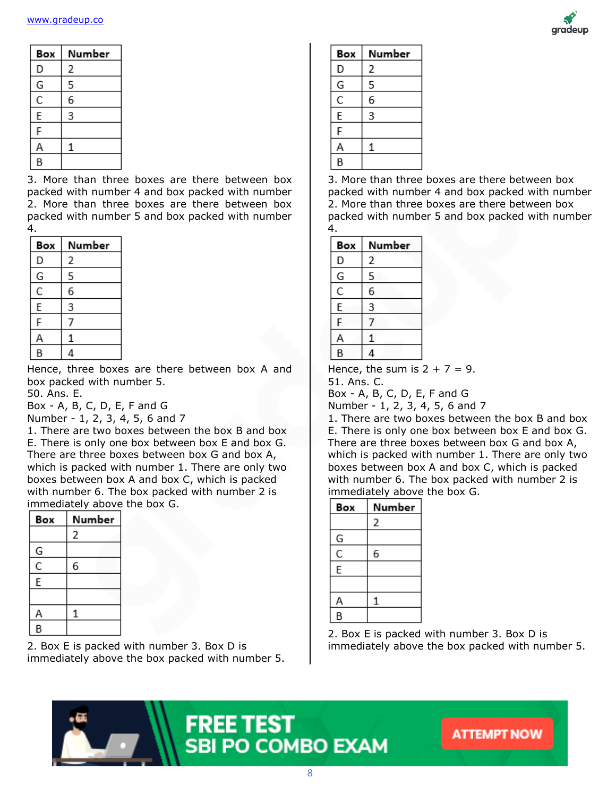

| Box | Number |
|-----|--------|
| D   | 2      |
| G   | 5      |
| C   | 6      |
| E   | 3      |
| F   |        |
| Д   | 1      |
| B   |        |

3. More than three boxes are there between box packed with number 4 and box packed with number 2. More than three boxes are there between box packed with number 5 and box packed with number 4.

| Box | Number |
|-----|--------|
| D   | 2      |
| G   | 5      |
| Ċ   | 6      |
| E   | 3      |
| F   | 7      |
|     |        |
|     |        |

Hence, three boxes are there between box A and box packed with number 5.

50. Ans. E.

Box - A, B, C, D, E, F and G

Number - 1, 2, 3, 4, 5, 6 and 7

1. There are two boxes between the box B and box E. There is only one box between box E and box G. There are three boxes between box G and box A, which is packed with number 1. There are only two boxes between box A and box C, which is packed with number 6. The box packed with number 2 is immediately above the box G.

| Box | Number      |
|-----|-------------|
|     | 2           |
| G   |             |
| Ċ   | 6           |
| E   |             |
|     |             |
| Α   | $\mathbf 1$ |
| B   |             |

2. Box E is packed with number 3. Box D is immediately above the box packed with number 5.

| Box | Number |
|-----|--------|
| D   | 2      |
| G   | 5      |
| Ċ   | 6      |
| E   | 3      |
| F   |        |
| А   | 1      |
| B   |        |

3. More than three boxes are there between box packed with number 4 and box packed with number 2. More than three boxes are there between box packed with number 5 and box packed with number 4.

| Box | Number |
|-----|--------|
| D   | 2      |
| G   | 5      |
| C   | 6      |
| E   | 3      |
| F   |        |
| А   | 1      |
| B   |        |

Hence, the sum is  $2 + 7 = 9$ .

51. Ans. C.

Box - A, B, C, D, E, F and G

Number - 1, 2, 3, 4, 5, 6 and 7

1. There are two boxes between the box B and box E. There is only one box between box E and box G. There are three boxes between box G and box A, which is packed with number 1. There are only two boxes between box A and box C, which is packed with number 6. The box packed with number 2 is immediately above the box G.

| Box                   | Number |  |
|-----------------------|--------|--|
|                       | 2      |  |
| G                     |        |  |
| $\overline{\epsilon}$ | 6      |  |
| E                     |        |  |
|                       |        |  |
| Α                     |        |  |
| B                     |        |  |

2. Box E is packed with number 3. Box D is immediately above the box packed with number 5.

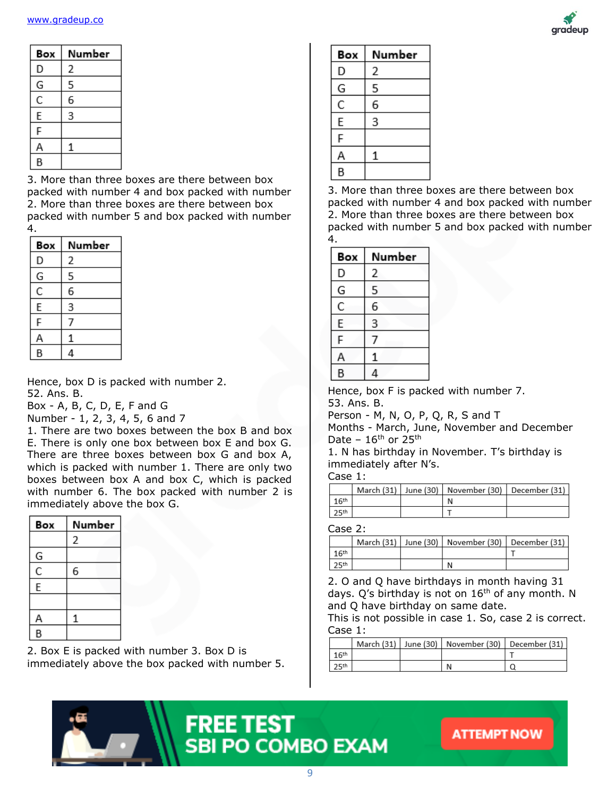

| Box | Number |
|-----|--------|
| D   | 2      |
| G   | 5      |
| C   | 6      |
| E   | 3      |
| F   |        |
| А   | 1      |
| B   |        |

3. More than three boxes are there between box packed with number 4 and box packed with number 2. More than three boxes are there between box packed with number 5 and box packed with number 4.

| Box | Number |
|-----|--------|
| D   | 2      |
| G   | 5      |
| Ċ   | 6      |
| E   | 3      |
| F   |        |
|     |        |
| R   |        |

Hence, box D is packed with number 2.

52. Ans. B.

Box - A, B, C, D, E, F and G

Number - 1, 2, 3, 4, 5, 6 and 7

1. There are two boxes between the box B and box E. There is only one box between box E and box G. There are three boxes between box G and box A, which is packed with number 1. There are only two boxes between box A and box C, which is packed with number 6. The box packed with number 2 is immediately above the box G.

| Box | Number |
|-----|--------|
|     | 2      |
| G   |        |
| C   | 6      |
| E   |        |
|     |        |
| Α   | 1      |
| B   |        |

2. Box E is packed with number 3. Box D is immediately above the box packed with number 5.

| Number |
|--------|
| 2      |
| 5      |
| 6      |
| 3      |
|        |
| 1      |
|        |
|        |

3. More than three boxes are there between box packed with number 4 and box packed with number 2. More than three boxes are there between box packed with number 5 and box packed with number 4.

| Box | Number |
|-----|--------|
| D   | 2      |
| G   | 5      |
| C   | 6      |
| E   | 3      |
| F   | 7      |
|     | 1      |
| B   |        |

Hence, box F is packed with number 7.

53. Ans. B.

Person - M, N, O, P, Q, R, S and T

Months - March, June, November and December Date –  $16^{th}$  or  $25^{th}$ 

1. N has birthday in November. T's birthday is immediately after N's.

Case 1:

|                    |  | March (31)   June (30)   November (30)   December (31) |  |
|--------------------|--|--------------------------------------------------------|--|
| 16 <sup>th</sup>   |  |                                                        |  |
| , 25 <sup>th</sup> |  |                                                        |  |

Case 2:

|         |  | March (31)   June (30)   November (30)   December (31) |  |
|---------|--|--------------------------------------------------------|--|
| 1 $6th$ |  |                                                        |  |
| 25th    |  |                                                        |  |

2. O and Q have birthdays in month having 31 days. Q's birthday is not on  $16<sup>th</sup>$  of any month. N and Q have birthday on same date.

This is not possible in case 1. So, case 2 is correct. Case 1:

|                  |  | March (31)   June (30)   November (30)   December (31) |  |
|------------------|--|--------------------------------------------------------|--|
| 16 <sup>th</sup> |  |                                                        |  |
| 25 <sup>th</sup> |  | N                                                      |  |

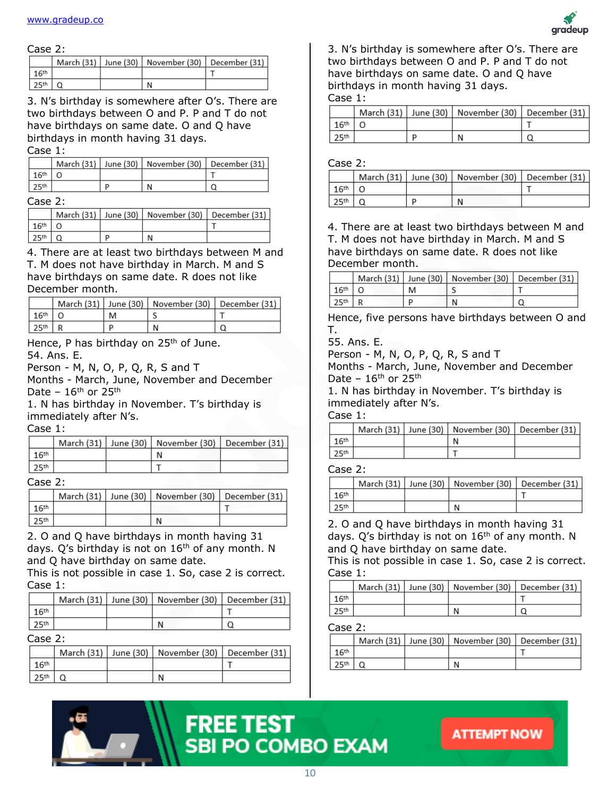

#### Case 2:

|                  |  | March (31)   June (30)   November (30)   December (31) |  |
|------------------|--|--------------------------------------------------------|--|
|                  |  |                                                        |  |
| 25 <sup>th</sup> |  |                                                        |  |

3. N's birthday is somewhere after O's. There are two birthdays between O and P. P and T do not have birthdays on same date. O and Q have birthdays in month having 31 days. Case 1:

|                  |  | March (31)   June (30)   November (30)   December (31) |  |
|------------------|--|--------------------------------------------------------|--|
| 16 <sup>th</sup> |  |                                                        |  |
|                  |  |                                                        |  |

#### Case 2:

|                  |  | March (31)   June (30)   November (30)   December (31) |  |
|------------------|--|--------------------------------------------------------|--|
| 16th             |  |                                                        |  |
| 25 <sup>th</sup> |  |                                                        |  |

4. There are at least two birthdays between M and T. M does not have birthday in March. M and S have birthdays on same date. R does not like December month.

|                  |  | March (31)   June (30)   November (30)   December (31) |  |
|------------------|--|--------------------------------------------------------|--|
| 16 <sup>th</sup> |  |                                                        |  |
| 25 <sup>th</sup> |  |                                                        |  |

Hence, P has birthday on 25<sup>th</sup> of June. 54. Ans. E.

Person - M, N, O, P, Q, R, S and T

Months - March, June, November and December Date –  $16^{th}$  or  $25^{th}$ 

1. N has birthday in November. T's birthday is immediately after N's.

Case 1:

|                  |  | March (31)   June (30)   November (30)   December (31) |  |
|------------------|--|--------------------------------------------------------|--|
| 16th             |  |                                                        |  |
| 25 <sup>th</sup> |  |                                                        |  |

#### Case 2:

|                  |  | March (31)   June (30)   November (30)   December (31) |  |
|------------------|--|--------------------------------------------------------|--|
| 16 <sup>th</sup> |  |                                                        |  |
| 25 <sup>th</sup> |  |                                                        |  |

2. O and Q have birthdays in month having 31 days. Q's birthday is not on  $16<sup>th</sup>$  of any month. N and Q have birthday on same date.

This is not possible in case 1. So, case 2 is correct. Case 1:

|      |  | March (31)   June (30)   November (30)   December (31) |  |
|------|--|--------------------------------------------------------|--|
| 16th |  |                                                        |  |
|      |  |                                                        |  |

#### $Case 2:$

|                  |  | March (31)   June (30)   November (30)   December (31) |  |
|------------------|--|--------------------------------------------------------|--|
| 16 <sup>th</sup> |  |                                                        |  |
| 25th             |  |                                                        |  |

3. N's birthday is somewhere after O's. There are two birthdays between O and P. P and T do not have birthdays on same date. O and Q have birthdays in month having 31 days.

Case 1:

|                  |   | March (31)   June (30)   November (30)   December (31) |  |
|------------------|---|--------------------------------------------------------|--|
| 16 <sup>th</sup> |   |                                                        |  |
| 25 <sup>th</sup> | п |                                                        |  |

#### Case 2:

|  | March (31)   June (30)   November (30)   December (31) |  |
|--|--------------------------------------------------------|--|
|  |                                                        |  |
|  |                                                        |  |

4. There are at least two birthdays between M and T. M does not have birthday in March. M and S have birthdays on same date. R does not like December month.

|                  |   | March (31)   June (30)   November (30)   December (31) |  |
|------------------|---|--------------------------------------------------------|--|
| 16 <sup>th</sup> | M |                                                        |  |
| 25th             | ם | N                                                      |  |

Hence, five persons have birthdays between O and T.

55. Ans. E.

Person - M, N, O, P, Q, R, S and T

Months - March, June, November and December Date –  $16<sup>th</sup>$  or  $25<sup>th</sup>$ 

1. N has birthday in November. T's birthday is immediately after N's.

Case 1:

|                  |  | March (31)   June (30)   November (30) | December (31) |
|------------------|--|----------------------------------------|---------------|
| 1 $6th$          |  |                                        |               |
| 25 <sup>th</sup> |  |                                        |               |

#### Case 2:

|                  |  | March (31)   June (30)   November (30)   December (31) |  |
|------------------|--|--------------------------------------------------------|--|
| 16 <sup>th</sup> |  |                                                        |  |
|                  |  |                                                        |  |

2. O and Q have birthdays in month having 31 days. Q's birthday is not on  $16<sup>th</sup>$  of any month. N and Q have birthday on same date.

This is not possible in case 1. So, case 2 is correct. Case 1:

|                  |  | March (31)   June (30)   November (30)   December (31) |  |
|------------------|--|--------------------------------------------------------|--|
|                  |  |                                                        |  |
| 25 <sup>th</sup> |  |                                                        |  |

#### Case 2:

|                  |  | March (31)   June (30)   November (30)   December (31) |  |
|------------------|--|--------------------------------------------------------|--|
| 16 <sup>th</sup> |  |                                                        |  |
| 25 <sup>th</sup> |  |                                                        |  |

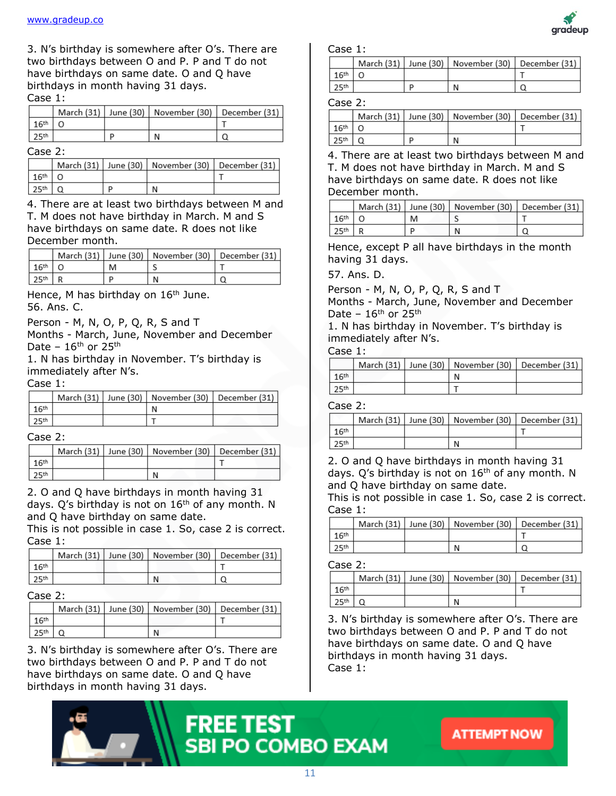3. N's birthday is somewhere after O's. There are two birthdays between O and P. P and T do not have birthdays on same date. O and Q have birthdays in month having 31 days. Case 1:

|                  |   | March (31)   June (30)   November (30)   December (31) |  |
|------------------|---|--------------------------------------------------------|--|
| 16 <sup>th</sup> |   |                                                        |  |
|                  | D |                                                        |  |

#### Case 2:

|                  |   | March (31)   June (30)   November (30)   December (31) |  |
|------------------|---|--------------------------------------------------------|--|
| 16 <sup>th</sup> |   |                                                        |  |
|                  | D |                                                        |  |

4. There are at least two birthdays between M and T. M does not have birthday in March. M and S have birthdays on same date. R does not like December month.

|                  |   | March (31)   June (30)   November (30)   December (31) |  |
|------------------|---|--------------------------------------------------------|--|
| 16 <sup>th</sup> | M |                                                        |  |
| l つ sth          |   |                                                        |  |

Hence, M has birthday on 16<sup>th</sup> June. 56. Ans. C.

Person - M, N, O, P, Q, R, S and T

Months - March, June, November and December Date –  $16^{th}$  or  $25^{th}$ 

1. N has birthday in November. T's birthday is immediately after N's.

#### Case 1:

|                  |  | March (31)   June (30)   November (30)   December (31) |  |
|------------------|--|--------------------------------------------------------|--|
| 16th             |  | N                                                      |  |
| 25 <sup>th</sup> |  |                                                        |  |

#### Case 2:

|                  |  | March (31)   June (30)   November (30)   December (31) |  |
|------------------|--|--------------------------------------------------------|--|
| 16 <sup>th</sup> |  |                                                        |  |
| 25th             |  | N                                                      |  |

2. O and Q have birthdays in month having 31 days.  $Q$ 's birthday is not on  $16<sup>th</sup>$  of any month. N and Q have birthday on same date.

This is not possible in case 1. So, case 2 is correct. Case 1:

|  | March (31)   June (30)   November (30)   December (31) |  |
|--|--------------------------------------------------------|--|
|  |                                                        |  |
|  |                                                        |  |

#### Case 2:

|                  |  | March (31)   June (30)   November (30)   December (31) |  |
|------------------|--|--------------------------------------------------------|--|
| 16 <sup>th</sup> |  |                                                        |  |
| 25 <sup>th</sup> |  |                                                        |  |

3. N's birthday is somewhere after O's. There are two birthdays between O and P. P and T do not have birthdays on same date. O and Q have birthdays in month having 31 days.



Case 1:

|                  |  | March (31)   June (30)   November (30)   December (31) |  |
|------------------|--|--------------------------------------------------------|--|
| 16 <sup>th</sup> |  |                                                        |  |
| 25 <sup>th</sup> |  |                                                        |  |

#### Case 2:

|                  |   | March (31)   June (30)   November (30)   December (31) |  |
|------------------|---|--------------------------------------------------------|--|
| 16 <sup>th</sup> |   |                                                        |  |
| 25 <sup>th</sup> | D |                                                        |  |

4. There are at least two birthdays between M and T. M does not have birthday in March. M and S have birthdays on same date. R does not like December month.

|                  |   | March (31)   June (30)   November (30)   December (31) |  |
|------------------|---|--------------------------------------------------------|--|
| 16 <sup>th</sup> | M |                                                        |  |
| 25 <sup>th</sup> |   |                                                        |  |

Hence, except P all have birthdays in the month having 31 days.

57. Ans. D.

Person - M, N, O, P, Q, R, S and T

Months - March, June, November and December Date –  $16<sup>th</sup>$  or  $25<sup>th</sup>$ 

1. N has birthday in November. T's birthday is immediately after N's.

#### Case 1:

|                  |  | March (31)   June (30)   November (30)   December (31) |  |
|------------------|--|--------------------------------------------------------|--|
| 16 <sup>th</sup> |  |                                                        |  |
| 25 <sup>th</sup> |  |                                                        |  |

#### Case 2:

|                  |  | March (31)   June (30)   November (30)   December (31) |  |
|------------------|--|--------------------------------------------------------|--|
| 16 <sup>th</sup> |  |                                                        |  |
|                  |  |                                                        |  |

2. O and Q have birthdays in month having 31 days.  $Q'$ s birthday is not on  $16<sup>th</sup>$  of any month. N and Q have birthday on same date.

This is not possible in case 1. So, case 2 is correct. Case 1:

|                  |  | March (31)   June (30)   November (30)   December (31) |  |
|------------------|--|--------------------------------------------------------|--|
| 1 $6th$          |  |                                                        |  |
| 25 <sup>th</sup> |  | N                                                      |  |

Case 2:

|                  |  | March (31)   June (30)   November (30)   December (31) |  |
|------------------|--|--------------------------------------------------------|--|
| 16 <sup>th</sup> |  |                                                        |  |
| 25 <sup>th</sup> |  |                                                        |  |

3. N's birthday is somewhere after O's. There are two birthdays between O and P. P and T do not have birthdays on same date. O and Q have birthdays in month having 31 days. Case 1:





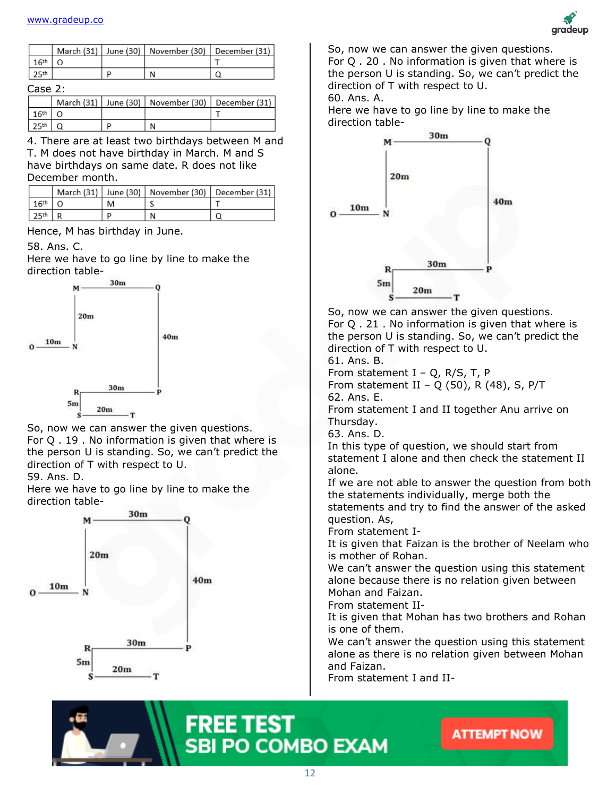

|                   |   | March (31)   June (30)   November (30)   December (31) |  |
|-------------------|---|--------------------------------------------------------|--|
| 16 <sup>th</sup>  |   |                                                        |  |
| 125 <sup>th</sup> | n |                                                        |  |

#### Case 2:

|                  |   | March (31)   June (30)   November (30)   December (31) |  |
|------------------|---|--------------------------------------------------------|--|
| 16th             |   |                                                        |  |
| 25 <sup>th</sup> | n | N                                                      |  |

4. There are at least two birthdays between M and T. M does not have birthday in March. M and S have birthdays on same date. R does not like December month.

|  | March (31)   June (30)   November (30)   December (31) |  |
|--|--------------------------------------------------------|--|
|  |                                                        |  |
|  |                                                        |  |

Hence, M has birthday in June.

58. Ans. C.

Here we have to go line by line to make the direction table-



So, now we can answer the given questions. For Q . 19 . No information is given that where is the person U is standing. So, we can't predict the direction of T with respect to U.

59. Ans. D.

Here we have to go line by line to make the direction table-



So, now we can answer the given questions. For Q . 20 . No information is given that where is the person U is standing. So, we can't predict the direction of T with respect to U.

60. Ans. A.

Here we have to go line by line to make the direction table-



So, now we can answer the given questions. For Q . 21 . No information is given that where is the person U is standing. So, we can't predict the direction of T with respect to U. 61. Ans. B.

From statement  $I - Q$ , R/S, T, P

From statement II – Q (50), R (48), S, P/T 62. Ans. E.

From statement I and II together Anu arrive on Thursday.

63. Ans. D.

In this type of question, we should start from statement I alone and then check the statement II alone.

If we are not able to answer the question from both the statements individually, merge both the statements and try to find the answer of the asked question. As,

From statement I-

It is given that Faizan is the brother of Neelam who is mother of Rohan.

We can't answer the question using this statement alone because there is no relation given between Mohan and Faizan.

From statement II-

It is given that Mohan has two brothers and Rohan is one of them.

We can't answer the question using this statement alone as there is no relation given between Mohan and Faizan.

From statement I and II-



## **FREE TEST SBI PO COMBO EXAM**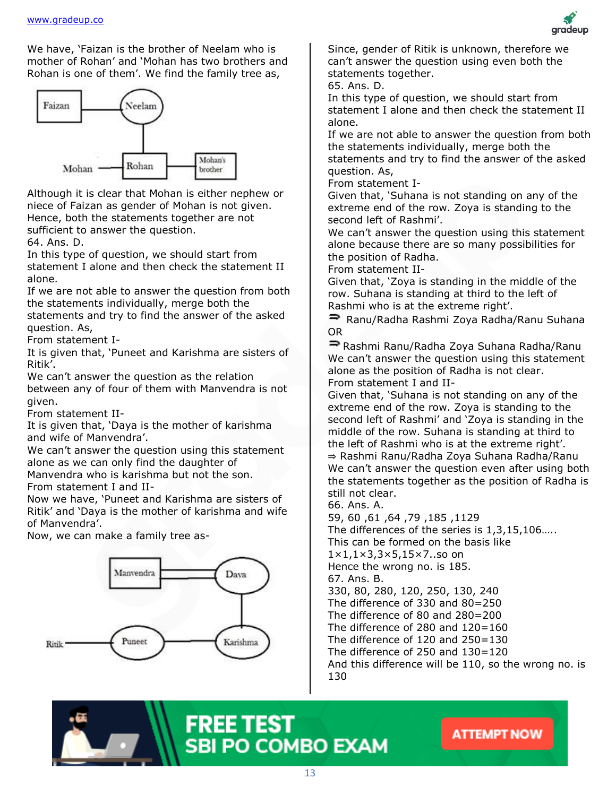We have, 'Faizan is the brother of Neelam who is mother of Rohan' and 'Mohan has two brothers and Rohan is one of them'. We find the family tree as,



Although it is clear that Mohan is either nephew or niece of Faizan as gender of Mohan is not given. Hence, both the statements together are not sufficient to answer the question.

64. Ans. D.

In this type of question, we should start from statement I alone and then check the statement II alone.

If we are not able to answer the question from both the statements individually, merge both the statements and try to find the answer of the asked

question. As,

From statement I-

It is given that, 'Puneet and Karishma are sisters of Ritik'.

We can't answer the question as the relation between any of four of them with Manvendra is not given.

From statement II-

It is given that, 'Daya is the mother of karishma and wife of Manvendra'.

We can't answer the question using this statement alone as we can only find the daughter of

Manvendra who is karishma but not the son. From statement I and II-

Now we have, 'Puneet and Karishma are sisters of Ritik' and 'Daya is the mother of karishma and wife of Manvendra'.

Now, we can make a family tree as-



Since, gender of Ritik is unknown, therefore we can't answer the question using even both the statements together.

65. Ans. D.

In this type of question, we should start from statement I alone and then check the statement II alone.

If we are not able to answer the question from both the statements individually, merge both the statements and try to find the answer of the asked question. As,

From statement I-

Given that, 'Suhana is not standing on any of the extreme end of the row. Zoya is standing to the second left of Rashmi'.

We can't answer the question using this statement alone because there are so many possibilities for the position of Radha.

From statement II-

Given that, 'Zoya is standing in the middle of the row. Suhana is standing at third to the left of Rashmi who is at the extreme right'.

Ranu/Radha Rashmi Zoya Radha/Ranu Suhana OR

Rashmi Ranu/Radha Zoya Suhana Radha/Ranu We can't answer the question using this statement alone as the position of Radha is not clear. From statement I and II-

Given that, 'Suhana is not standing on any of the extreme end of the row. Zoya is standing to the second left of Rashmi' and 'Zoya is standing in the middle of the row. Suhana is standing at third to the left of Rashmi who is at the extreme right'. ⇒ Rashmi Ranu/Radha Zoya Suhana Radha/Ranu We can't answer the question even after using both the statements together as the position of Radha is still not clear.

66. Ans. A.

59, 60 ,61 ,64 ,79 ,185 ,1129

The differences of the series is 1,3,15,106.....

This can be formed on the basis like

1×1,1×3,3×5,15×7..so on

Hence the wrong no. is 185.

67. Ans. B.

330, 80, 280, 120, 250, 130, 240 The difference of 330 and 80=250

The difference of 80 and 280=200

The difference of 280 and 120=160

The difference of 120 and 250=130

The difference of 250 and 130=120 And this difference will be 110, so the wrong no. is

130

# **FREE TEST SBI PO COMBO EXAM**

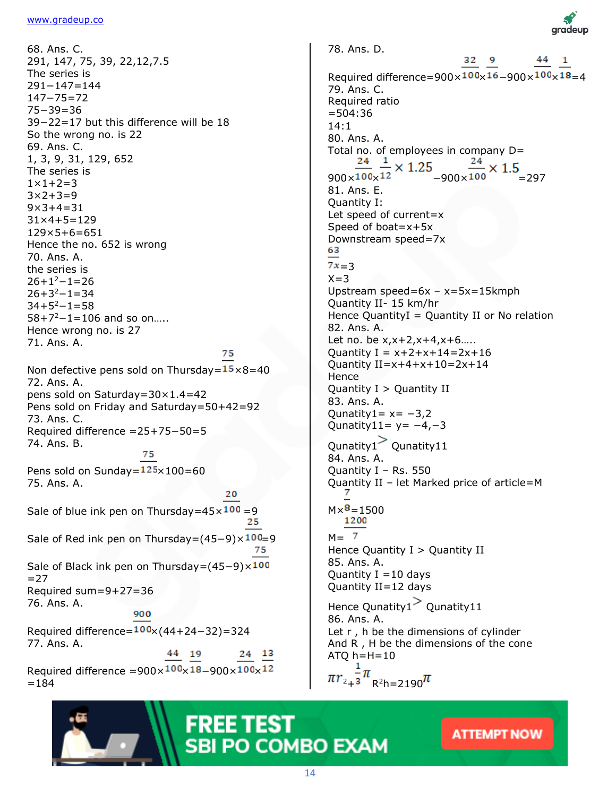68. Ans. C. 291, 147, 75, 39, 22,12,7.5 The series is 291−147=144 147−75=72 75−39=36 39−22=17 but this difference will be 18 So the wrong no. is 22 69. Ans. C. 1, 3, 9, 31, 129, 652 The series is  $1 \times 1 + 2 = 3$  $3 \times 2 + 3 = 9$  $9 \times 3 + 4 = 31$ 31×4+5=129 129×5+6=651 Hence the no. 652 is wrong 70. Ans. A. the series is  $26+1^2-1=26$  $26+3^2-1=34$  $34+5^2-1=58$ 58+7<sup>2</sup>−1=106 and so on….. Hence wrong no. is 27 71. Ans. A. 75

Non defective pens sold on Thursday= $15 \times 8=40$ 72. Ans. A. pens sold on Saturday=30×1.4=42 Pens sold on Friday and Saturday=50+42=92 73. Ans. C. Required difference =25+75−50=5 74. Ans. B. 75

Pens sold on Sunday= $125 \times 100 = 60$ 75. Ans. A.

Sale of blue ink pen on Thursday= $45 \times 100 = 9$ 25

Sale of Red ink pen on Thursday= $(45-9) \times 100=9$ 75

20

Sale of Black ink pen on Thursday=(45−9)×100  $=27$ Required sum=9+27=36 76. Ans. A.

900

Required difference= $100 \times (44+24-32) = 324$ 77. Ans. A. 44 19 24 13

Required difference = $900 \times 100 \times 18 - 900 \times 100 \times 12$  $=184$ 

78. Ans. D. 32 9 Required difference= $900\times100\times16-900\times100\times18=4$ 79. Ans. C. Required ratio =504:36 14:1 80. Ans. A. Total no. of employees in company D=<br> $\frac{24}{10} \frac{1}{100} \times 1.25$  $\frac{24}{900 \times 100 \times 12}$  × 1.25<br> $\frac{24}{-900 \times 100}$  × 1.5 81. Ans. E. Quantity I: Let speed of current=x Speed of boat=x+5x Downstream speed=7x 63  $7x=3$  $X = 3$ Upstream speed=6x – x=5x=15kmph Quantity II- 15 km/hr Hence QuantityI = Quantity II or No relation 82. Ans. A. Let no. be x,x+2,x+4,x+6….. Quantity  $I = x+2+x+14=2x+16$ Quantity  $II=x+4+x+10=2x+14$ Hence Quantity  $I >$  Quantity II 83. Ans. A. Qunatity $1 = x = -3,2$ Qunatity11=  $y=-4,-3$  $Qunatity1$ <sup>></sup> Qunatity11 84. Ans. A. Quantity I – Rs. 550 Quantity II – let Marked price of article=M  $M \times \frac{8}{1200}$  $M = \frac{7}{2}$ Hence Quantity  $I >$  Quantity II 85. Ans. A. Quantity  $I = 10$  days Quantity II=12 days Hence Qunatity1 $>$  Qunatity11 86. Ans. A. Let r , h be the dimensions of cylinder And R , H be the dimensions of the cone  $ATQ h=H=10$ 

 $2+3$  R<sup>2</sup>h=2190

# **FREE TEST SBI PO COMBO EXAM**